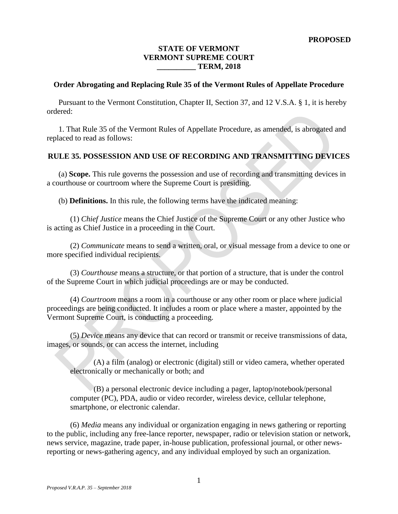# **STATE OF VERMONT VERMONT SUPREME COURT \_\_\_\_\_\_\_\_\_\_ TERM, 2018**

#### **Order Abrogating and Replacing Rule 35 of the Vermont Rules of Appellate Procedure**

Pursuant to the Vermont Constitution, Chapter II, Section 37, and 12 V.S.A. § 1, it is hereby ordered:

1. That Rule 35 of the Vermont Rules of Appellate Procedure, as amended, is abrogated and replaced to read as follows:

# **RULE 35. POSSESSION AND USE OF RECORDING AND TRANSMITTING DEVICES**

(a) **Scope.** This rule governs the possession and use of recording and transmitting devices in a courthouse or courtroom where the Supreme Court is presiding.

(b) **Definitions.** In this rule, the following terms have the indicated meaning:

(1) *Chief Justice* means the Chief Justice of the Supreme Court or any other Justice who is acting as Chief Justice in a proceeding in the Court.

(2) *Communicate* means to send a written, oral, or visual message from a device to one or more specified individual recipients.

(3) *Courthouse* means a structure, or that portion of a structure, that is under the control of the Supreme Court in which judicial proceedings are or may be conducted.

(4) *Courtroom* means a room in a courthouse or any other room or place where judicial proceedings are being conducted. It includes a room or place where a master, appointed by the Vermont Supreme Court, is conducting a proceeding.

(5) *Device* means any device that can record or transmit or receive transmissions of data, images, or sounds, or can access the internet, including

(A) a film (analog) or electronic (digital) still or video camera, whether operated electronically or mechanically or both; and

(B) a personal electronic device including a pager, laptop/notebook/personal computer (PC), PDA, audio or video recorder, wireless device, cellular telephone, smartphone, or electronic calendar.

(6) *Media* means any individual or organization engaging in news gathering or reporting to the public, including any free-lance reporter, newspaper, radio or television station or network, news service, magazine, trade paper, in-house publication, professional journal, or other newsreporting or news-gathering agency, and any individual employed by such an organization.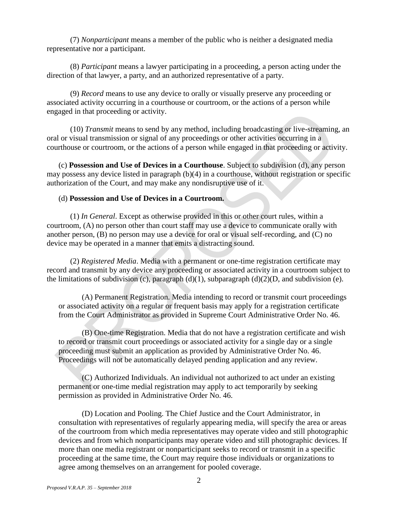(7) *Nonparticipant* means a member of the public who is neither a designated media representative nor a participant.

(8) *Participant* means a lawyer participating in a proceeding, a person acting under the direction of that lawyer, a party, and an authorized representative of a party.

(9) *Record* means to use any device to orally or visually preserve any proceeding or associated activity occurring in a courthouse or courtroom, or the actions of a person while engaged in that proceeding or activity.

(10) *Transmit* means to send by any method, including broadcasting or live-streaming, an oral or visual transmission or signal of any proceedings or other activities occurring in a courthouse or courtroom, or the actions of a person while engaged in that proceeding or activity.

(c) **Possession and Use of Devices in a Courthouse**. Subject to subdivision (d), any person may possess any device listed in paragraph (b)(4) in a courthouse, without registration or specific authorization of the Court, and may make any nondisruptive use of it.

## (d) **Possession and Use of Devices in a Courtroom.**

(1) *In General*. Except as otherwise provided in this or other court rules, within a courtroom, (A) no person other than court staff may use a device to communicate orally with another person, (B) no person may use a device for oral or visual self-recording, and (C) no device may be operated in a manner that emits a distracting sound.

(2) *Registered Media*. Media with a permanent or one-time registration certificate may record and transmit by any device any proceeding or associated activity in a courtroom subject to the limitations of subdivision (c), paragraph  $(d)(1)$ , subparagraph  $(d)(2)(D)$ , and subdivision (e).

(A) Permanent Registration. Media intending to record or transmit court proceedings or associated activity on a regular or frequent basis may apply for a registration certificate from the Court Administrator as provided in Supreme Court Administrative Order No. 46.

(B) One-time Registration. Media that do not have a registration certificate and wish to record or transmit court proceedings or associated activity for a single day or a single proceeding must submit an application as provided by Administrative Order No. 46. Proceedings will not be automatically delayed pending application and any review.

(C) Authorized Individuals. An individual not authorized to act under an existing permanent or one-time medial registration may apply to act temporarily by seeking permission as provided in Administrative Order No. 46.

(D) Location and Pooling. The Chief Justice and the Court Administrator, in consultation with representatives of regularly appearing media, will specify the area or areas of the courtroom from which media representatives may operate video and still photographic devices and from which nonparticipants may operate video and still photographic devices. If more than one media registrant or nonparticipant seeks to record or transmit in a specific proceeding at the same time, the Court may require those individuals or organizations to agree among themselves on an arrangement for pooled coverage.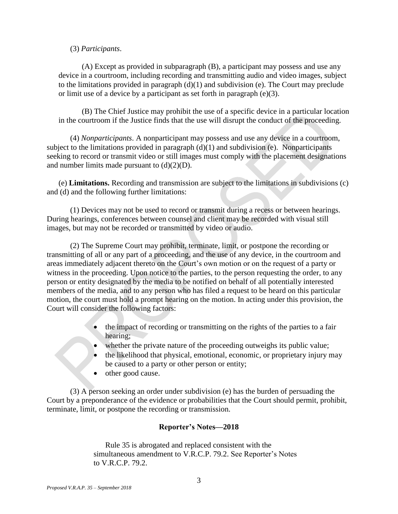### (3) *Participants*.

(A) Except as provided in subparagraph (B), a participant may possess and use any device in a courtroom, including recording and transmitting audio and video images, subject to the limitations provided in paragraph  $(d)(1)$  and subdivision (e). The Court may preclude or limit use of a device by a participant as set forth in paragraph (e)(3).

(B) The Chief Justice may prohibit the use of a specific device in a particular location in the courtroom if the Justice finds that the use will disrupt the conduct of the proceeding.

(4) *Nonparticipants*. A nonparticipant may possess and use any device in a courtroom, subject to the limitations provided in paragraph  $(d)(1)$  and subdivision (e). Nonparticipants seeking to record or transmit video or still images must comply with the placement designations and number limits made pursuant to  $(d)(2)(D)$ .

(e) **Limitations.** Recording and transmission are subject to the limitations in subdivisions (c) and (d) and the following further limitations:

(1) Devices may not be used to record or transmit during a recess or between hearings. During hearings, conferences between counsel and client may be recorded with visual still images, but may not be recorded or transmitted by video or audio.

(2) The Supreme Court may prohibit, terminate, limit, or postpone the recording or transmitting of all or any part of a proceeding, and the use of any device, in the courtroom and areas immediately adjacent thereto on the Court's own motion or on the request of a party or witness in the proceeding. Upon notice to the parties, to the person requesting the order, to any person or entity designated by the media to be notified on behalf of all potentially interested members of the media, and to any person who has filed a request to be heard on this particular motion, the court must hold a prompt hearing on the motion. In acting under this provision, the Court will consider the following factors:

- the impact of recording or transmitting on the rights of the parties to a fair hearing;
- whether the private nature of the proceeding outweighs its public value;
- the likelihood that physical, emotional, economic, or proprietary injury may be caused to a party or other person or entity;
- other good cause.

(3) A person seeking an order under subdivision (e) has the burden of persuading the Court by a preponderance of the evidence or probabilities that the Court should permit, prohibit, terminate, limit, or postpone the recording or transmission.

# **Reporter's Notes—2018**

Rule 35 is abrogated and replaced consistent with the simultaneous amendment to V.R.C.P. 79.2. See Reporter's Notes to V.R.C.P. 79.2.